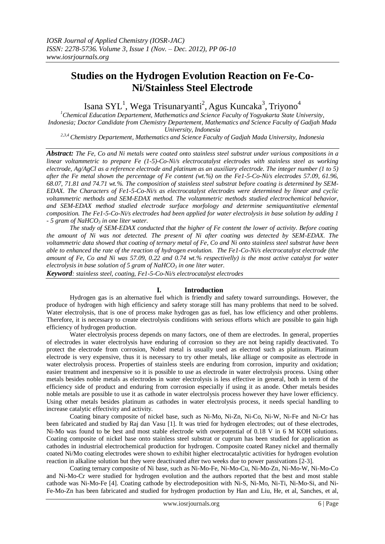# **Studies on the Hydrogen Evolution Reaction on Fe-Co-Ni/Stainless Steel Electrode**

Isana SYL<sup>1</sup>, Wega Trisunaryanti<sup>2</sup>, Agus Kuncaka<sup>3</sup>, Triyono<sup>4</sup>

*<sup>1</sup>Chemical Education Departement, Mathematics and Science Faculty of Yogyakarta State University, Indonesia; Doctor Candidate from Chemistry Departement, Mathematics and Science Faculty of Gadjah Mada University, Indonesia*

*2,3,4 Chemistry Departement, Mathematics and Science Faculty of Gadjah Mada University, Indonesia*

*Abstract: The Fe, Co and Ni metals were coated onto stainless steel substrat under various compositions in a linear voltammetric to prepare Fe (1-5)-Co-Ni/s electrocatalyst electrodes with stainless steel as working electrode, Ag/AgCl as a reference electrode and platinum as an auxiliary electrode. The integer number (1 to 5) after the Fe metal shown the percentage of Fe content (wt.%) on the Fe1-5-Co-Ni/s electrodes 57.09, 61.96, 68.07, 71.81 and 74.71 wt.%. The composition of stainless steel substrat before coating is determined by SEM-EDAX. The Characters of Fe1-5-Co-Ni/s as electrocatalyst electrodes were determined by linear and cyclic voltammetric methods and SEM-EDAX method. The voltammetric methods studied electrochemical behavior, and SEM-EDAX method studied electrode surface morfology and determine semiquantitative elemental composition. The Fe1-5-Co-Ni/s electrodes had been applied for water electrolysis in base solution by adding 1 - 5 gram of NaHCO<sup>3</sup> in one liter water.* 

*The study of SEM-EDAX conducted that the higher of Fe content the lower of activity. Before coating the amount of Ni was not detected. The present of Ni after coating was detected by SEM-EDAX. The voltammetric data showed that coating of ternary metal of Fe, Co and Ni onto stainless steel substrat have been able to enhanced the rate of the reaction of hydrogen evolution. The Fe1-Co-Ni/s electrocatalyst electrode (the amount of Fe, Co and Ni was 57.09, 0.22 and 0.74 wt.% respectivelly) is the most active catalyst for water electrolysis in base solution of 5 gram of NaHCO<sup>3</sup> in one liter water.*

*Keyword: stainless steel, coating, Fe1-5-Co-Ni/s electrocatalyst electrodes*

# **I. Introduction**

Hydrogen gas is an alternative fuel which is friendly and safety toward surroundings. However, the produce of hydrogen with high efficiency and safety storage still has many problems that need to be solved. Water electrolysis, that is one of process make hydrogen gas as fuel, has low efficiency and other problems. Therefore, it is necessary to create electrolysis conditions with serious efforts which are possible to gain high efficiency of hydrogen production.

Water electrolysis process depends on many factors, one of them are electrodes. In general, properties of electrodes in water electrolysis have enduring of corrosion so they are not being rapidly deactivated. To protect the electrode from corrosion, Nobel metal is usually used as electrod such as platinum. Platinum electrode is very expensive, thus it is necessary to try other metals, like alliage or composite as electrode in water electrolysis process. Properties of stainless steels are enduring from corrosion, impurity and oxidation; easier treatment and inexpensive so it is possible to use as electrode in water electrolysis process. Using other metals besides noble metals as electrodes in water electrolysis is less effective in general, both in term of the efficiency side of product and enduring from corrosion especially if using it as anode. Other metals besides noble metals are possible to use it as cathode in water electrolysis process however they have lower efficiency. Using other metals besides platinum as cathodes in water electrolysis process, it needs special handling to increase catalytic effectivity and activity.

Coating binary composite of nickel base, such as Ni-Mo, Ni-Zn, Ni-Co, Ni-W, Ni-Fe and Ni-Cr has been fabricated and studied by Raj dan Vasu [1]. It was tried for hydrogen electrodes; out of these electrodes, Ni-Mo was found to be best and most stable electrode with overpotential of 0.18 V in 6 M KOH solutions. Coating composite of nickel base onto stainless steel substrat or cuprum has been studied for application as cathodes in industrial electrochemical production for hydrogen. Composite coated Raney nickel and thermally coated Ni/Mo coating electrodes were shown to exhibit higher electrocatalytic activities for hydrogen evolution reaction in alkaline solution but they were deactivated after two weeks due to power passivations [2-3].

Coating ternary composite of Ni base, such as Ni-Mo-Fe, Ni-Mo-Cu, Ni-Mo-Zn, Ni-Mo-W, Ni-Mo-Co and Ni-Mo-Cr were studied for hydrogen evolution and the authors reported that the best and most stable cathode was Ni-Mo-Fe [4]. Coating cathode by electrodeposition with Ni-S, Ni-Mo, Ni-Ti, Ni-Mo-Si, and Ni-Fe-Mo-Zn has been fabricated and studied for hydrogen production by Han and Liu, He, et al, Sanches, et al,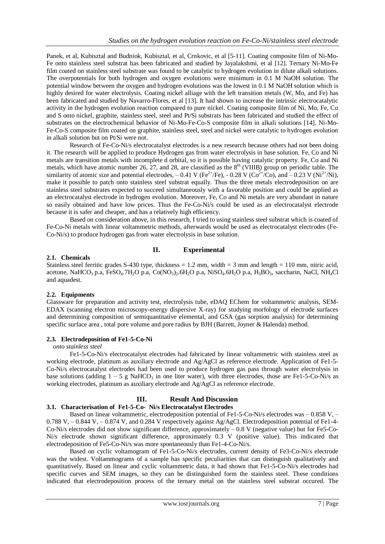Panek, et al, Kubisztal and Budniok, Kubisztal, et al, Crnkovic, et al [5-11]. Coating composite film of Ni-Mo-Fe onto stainless steel substrat has been fabricated and studied by Jayalakshmi, et al [12]. Ternary Ni-Mo-Fe film coated on stainless steel substrate was found to be catalytic to hydrogen evolution in dilute alkali solutions. The overpotentials for both hydrogen and oxygen evolutions were minimum in 0.1 M NaOH solution. The potential window between the oxygen and hydrogen evolutions was the lowest in 0.1 M NaOH solution which is highly desired for water electrolysis. Coating nickel alliage with the left transition metals (W, Mo, and Fe) has been fabricated and studied by Navarro-Flores, et al [13]. It had shown to increase the intrinsic electrocatalytic activity in the hydrogen evolution reaction compared to pure nickel. Coating composite film of Ni, Mo, Fe, Co and S onto nickel, graphite, stainless steel, steel and Pt/Si substrats has been fabricated and studied the effect of substrates on the electrochemical behavior of Ni-Mo-Fe-Co-S composite film in alkali solutions [14]. Ni-Mo-Fe-Co-S composite film coated on graphite, stainless steel, steel and nickel were catalytic to hydrogen evolution in alkali solution but on Pt/Si were not.

Research of Fe-Co-Ni/s electrocatalyst electrodes is a new research because others had not been doing it. The research will be applied to produce Hydrogen gas from water electrolysis in base solution. Fe, Co and Ni metals are transition metals with incomplete d orbital, so it is possible having catalytic property. Fe, Co and Ni metals, which have atomic number 26, 27, and 28, are classified as the  $8<sup>th</sup>$  (VIIIB) group on periodic table. The similarity of atomic size and potential electrodes,  $-0.41$  V (Fe<sup>2+</sup>/Fe),  $-0.28$  V (Co<sup>2+</sup>/Co), and  $-0.23$  V (Ni<sup>2+</sup>/Ni), make it possible to patch onto stainless steel substrat equally. Thus the three metals electrodeposition on are stainless steel substrates expected to succeed simultaneously with a favorable position and could be applied as an electrocatalyst electrode in hydrogen evolution. Moreover, Fe, Co and Ni metals are very abundant in nature so easily obtained and have low prices. Thus the Fe-Co-Ni/s could be used as an electrocatalyst electrode because it is safer and cheaper, and has a relatively high efficiency.

Based on consideration above, in this research, I tried to using stainless steel substrat which is coated of Fe-Co-Ni metals with linear voltammetric methods, afterwards would be used as electrocatalyst electrodes (Fe-Co-Ni/s) to produce hydrogen gas from water electrolysis in base solution.

# **II. Experimental**

#### **2.1. Chemicals**

Stainless steel ferritic grades S-430 type, thickness = 1.2 mm, width = 3 mm and length = 110 mm, nitric acid, acetone, NaHCO<sub>3</sub> p.a, FeSO<sub>4</sub>.7H<sub>2</sub>O p.a, Co(NO<sub>3</sub>)<sub>2</sub>.6H<sub>2</sub>O p.a, NiSO<sub>4</sub>.6H<sub>2</sub>O p.a, H<sub>3</sub>BO<sub>3</sub>, saccharin, NaCl, NH<sub>4</sub>Cl and aquadest.

## **2.2. Equipments**

Glassware for preparation and activity test, electrolysis tube, eDAQ EChem for voltammetric analysis, SEM-EDAX (scanning electron microscopy-energy dispersive X-ray) for studying morfology of electrode surfaces and determining composition of semiquantitative elemental, and GSA (gas sorption analysis) for determining specific surface area , total pore volume and pore radius by BJH (Barrett, Joyner & Halenda) method.

## **2.3. Electrodeposition of Fe1-5-Co-Ni**

#### *onto stainless steel*

Fe1-5-Co-Ni/s electrocatalyst electrodes had fabricated by linear voltammetric with stainless steel as working electrode, platinum as auxiliary electrode and Ag/AgCl as reference electrode. Application of Fe1-5- Co-Ni/s electrocatalyst electrodes had been used to produce hydrogen gas pass through water electrolysis in base solutions (adding  $1 - 5$  g NaHCO<sub>3</sub> in one liter water), with three electrodes, those are Fe1-5-Co-Ni/s as working electrodes, platinum as auxiliary electrode and Ag/AgCl as reference electrode.

## **III. Result And Discussion**

# **3.1. Characterisation of Fe1-5-Co- Ni/s Electrocatalyst Electrodes**

Based on linear voltammetric, electrodeposition potential of Fe1-5-Co-Ni/s electrodes was – 0.858 V, – 0.788 V, – 0.844 V, – 0.874 V, and 0.284 V respectively against Ag/AgCl. Electrodeposition potential of Fe1-4- Co-Ni/s electrodes did not show significant difference, approximately – 0.8 V (negative value) but for Fe5-Co-Ni/s electrode shown significant difference, approximately 0.3 V (positive value). This indicated that electrodeposition of Fe5-Co-Ni/s was more spontaneously than Fe1-4-Co-Ni/s.

Based on cyclic voltamogram of Fe1-5-Co-Ni/s electrodes, current density of Fe3-Co-Ni/s electrode was the widest. Voltammograms of a sample has specific peculiarities that can distinguish qualitatively and quantitatively. Based on linear and cyclic voltammetric data, it had shown that Fe1-5-Co-Ni/s electrodes had specific curves and SEM images, so they can be distinguished form the stainless steel. These conditions indicated that electrodeposition process of the ternary metal on the stainless steel substrat occured. The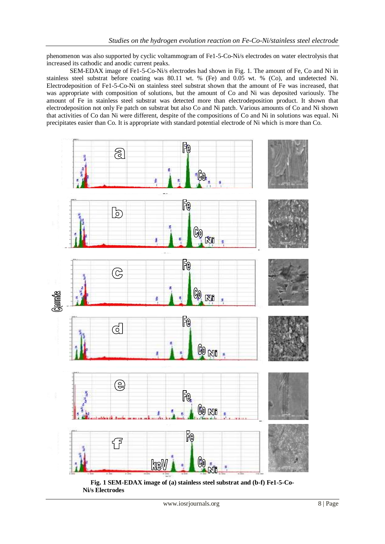phenomenon was also supported by cyclic voltammogram of Fe1-5-Co-Ni/s electrodes on water electrolysis that increased its cathodic and anodic current peaks.

SEM-EDAX image of Fe1-5-Co-Ni/s electrodes had shown in Fig. 1. The amount of Fe, Co and Ni in stainless steel substrat before coating was 80.11 wt. % (Fe) and 0.05 wt. % (Co), and undetected Ni. Electrodeposition of Fe1-5-Co-Ni on stainless steel substrat shown that the amount of Fe was increased, that was appropriate with composition of solutions, but the amount of Co and Ni was deposited variously. The amount of Fe in stainless steel substrat was detected more than electrodeposition product. It shown that electrodeposition not only Fe patch on substrat but also Co and Ni patch. Various amounts of Co and Ni shown that activities of Co dan Ni were different, despite of the compositions of Co and Ni in solutions was equal. Ni precipitates easier than Co. It is appropriate with standard potential electrode of Ni which is more than Co.



**Fig. 1 SEM-EDAX image of (a) stainless steel substrat and (b-f) Fe1-5-Co- Ni/s Electrodes**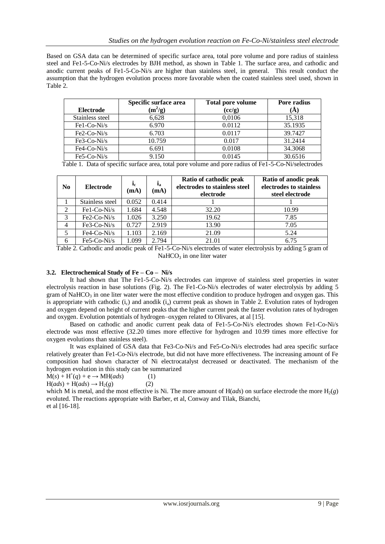Based on GSA data can be determined of specific surface area, total pore volume and pore radius of stainless steel and Fe1-5-Co-Ni/s electrodes by BJH method, as shown in Table 1. The surface area, and cathodic and anodic current peaks of Fe1-5-Co-Ni/s are higher than stainless steel, in general. This result conduct the assumption that the hydrogen evolution process more favorable when the coated stainless steel used, shown in Table 2.

|                  | Specific surface area | <b>Total pore volume</b> | Pore radius |
|------------------|-----------------------|--------------------------|-------------|
| <b>Electrode</b> | $(m^2/g)$             | (cc/g)                   | (A)         |
| Stainless steel  | 6,628                 | 0,0106                   | 15,318      |
| Fe1-Co-Ni/s      | 6.970                 | 0.0112                   | 35.1935     |
| $Fe2-Co-Ni/s$    | 6.703                 | 0.0117                   | 39.7427     |
| $Fe3-Co-Ni/s$    | 10.759                | 0.017                    | 31.2414     |
| $Fe4-Co-Ni/s$    | 6.691                 | 0.0108                   | 34.3068     |
| $Fe5-Co-Ni/s$    | 9.150                 | 0.0145                   | 30.6516     |

Table 1. Data of specific surface area, total pore volume and pore radius of Fe1-5-Co-Ni/selectrodes

| N <sub>0</sub> | Electrode       | $\mathbf{i}_e$<br>(mA) | $i_a$<br>(mA) | Ratio of cathodic peak<br>electrodes to stainless steel<br>electrode | Ratio of anodic peak<br>electrodes to stainless<br>steel electrode |
|----------------|-----------------|------------------------|---------------|----------------------------------------------------------------------|--------------------------------------------------------------------|
|                | Stainless steel | 0.052                  | 0.414         |                                                                      |                                                                    |
| $\overline{2}$ | Fe1-Co-Ni/s     | 1.684                  | 4.548         | 32.20                                                                | 10.99                                                              |
| 3              | $Fe2-Co-Ni/s$   | 1.026                  | 3.250         | 19.62                                                                | 7.85                                                               |
| 4              | $Fe3-Co-Ni/s$   | 0.727                  | 2.919         | 13.90                                                                | 7.05                                                               |
| 5              | $Fe4-Co-Ni/s$   | 1.103                  | 2.169         | 21.09                                                                | 5.24                                                               |
| 6              | Fe5-Co-Ni/s     | 1.099                  | 2.794         | 21.01                                                                | 6.75                                                               |

Table 2. Cathodic and anodic peak of Fe1-5-Co-Ni/s electrodes of water electrolysis by adding 5 gram of  $NaHCO<sub>3</sub>$  in one liter water

# **3.2. Electrochemical Study of Fe – Co – Ni/s**

It had shown that The Fe1-5-Co-Ni/s electrodes can improve of stainless steel properties in water electrolysis reaction in base solutions (Fig. 2). The Fe1-Co-Ni/s electrodes of water electrolysis by adding 5 gram of  $NaHCO<sub>3</sub>$  in one liter water were the most effective condition to produce hydrogen and oxygen gas. This is appropriate with cathodic  $(i_c)$  and anodik  $(i_a)$  current peak as shown in Table 2. Evolution rates of hydrogen and oxygen depend on height of current peaks that the higher current peak the faster evolution rates of hydrogen and oxygen. Evolution potentials of hydrogen–oxygen related to Olivares, at al [15].

Based on cathodic and anodic current peak data of Fe1-5-Co-Ni/s electrodes shown Fe1-Co-Ni/s electrode was most effective (32.20 times more effective for hydrogen and 10.99 times more effective for oxygen evolutions than stainless steel).

It was explained of GSA data that Fe3-Co-Ni/s and Fe5-Co-Ni/s electrodes had area specific surface relatively greater than Fe1-Co-Ni/s electrode, but did not have more effectiveness. The increasing amount of Fe composition had shown character of Ni electrocatalyst decreased or deactivated. The mechanism of the hydrogen evolution in this study can be summarized

 $M(s) + H^+(q) + e \rightarrow MH(ads)$  (1)  $H(ads) + H(ads) \rightarrow H_2(g)$  (2)

which M is metal, and the most effective is Ni. The more amount of  $H(dds)$  on surface electrode the more  $H_2(g)$ evoluted. The reactions appropriate with Barber, et al, Conway and Tilak, Bianchi, et al [16-18].